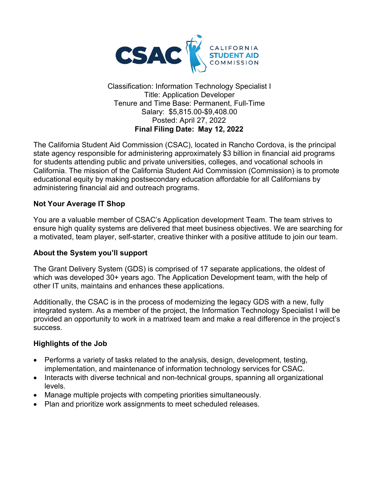

Classification: Information Technology Specialist I Title: Application Developer Tenure and Time Base: Permanent, Full-Time Salary: \$5,815.00-\$9,408.00 Posted: April 27, 2022 **Final Filing Date: May 12, 2022**

The California Student Aid Commission (CSAC), located in Rancho Cordova, is the principal state agency responsible for administering approximately \$3 billion in financial aid programs for students attending public and private universities, colleges, and vocational schools in California. The mission of the California Student Aid Commission (Commission) is to promote educational equity by making postsecondary education affordable for all Californians by administering financial aid and outreach programs.

#### **Not Your Average IT Shop**

You are a valuable member of CSAC's Application development Team. The team strives to ensure high quality systems are delivered that meet business objectives. We are searching for a motivated, team player, self-starter, creative thinker with a positive attitude to join our team.

#### **About the System you'll support**

The Grant Delivery System (GDS) is comprised of 17 separate applications, the oldest of which was developed 30+ years ago. The Application Development team, with the help of other IT units, maintains and enhances these applications.

Additionally, the CSAC is in the process of modernizing the legacy GDS with a new, fully integrated system. As a member of the project, the Information Technology Specialist I will be provided an opportunity to work in a matrixed team and make a real difference in the project's success.

#### **Highlights of the Job**

- Performs a variety of tasks related to the analysis, design, development, testing, implementation, and maintenance of information technology services for CSAC.
- Interacts with diverse technical and non-technical groups, spanning all organizational levels.
- Manage multiple projects with competing priorities simultaneously.
- Plan and prioritize work assignments to meet scheduled releases.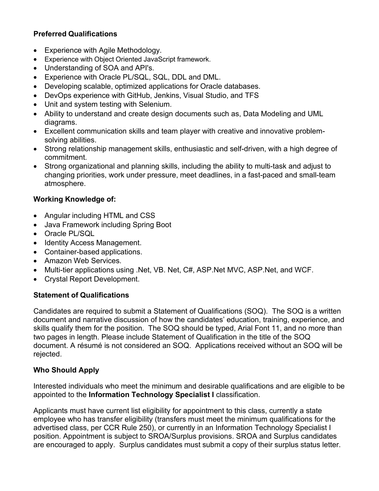## **Preferred Qualifications**

- Experience with Agile Methodology.
- Experience with Object Oriented JavaScript framework.
- Understanding of SOA and API's.
- Experience with Oracle PL/SQL, SQL, DDL and DML.
- Developing scalable, optimized applications for Oracle databases.
- DevOps experience with GitHub, Jenkins, Visual Studio, and TFS
- Unit and system testing with Selenium.
- Ability to understand and create design documents such as, Data Modeling and UML diagrams.
- Excellent communication skills and team player with creative and innovative problemsolving abilities.
- Strong relationship management skills, enthusiastic and self-driven, with a high degree of commitment.
- Strong organizational and planning skills, including the ability to multi-task and adjust to changing priorities, work under pressure, meet deadlines, in a fast-paced and small-team atmosphere.

### **Working Knowledge of:**

- Angular including HTML and CSS
- Java Framework including Spring Boot
- Oracle PL/SQL
- Identity Access Management.
- Container-based applications.
- Amazon Web Services.
- Multi-tier applications using .Net, VB. Net, C#, ASP.Net MVC, ASP.Net, and WCF.
- Crystal Report Development.

#### **Statement of Qualifications**

Candidates are required to submit a Statement of Qualifications (SOQ). The SOQ is a written document and narrative discussion of how the candidates' education, training, experience, and skills qualify them for the position. The SOQ should be typed, Arial Font 11, and no more than two pages in length. Please include Statement of Qualification in the title of the SOQ document. A résumé is not considered an SOQ. Applications received without an SOQ will be rejected.

#### **Who Should Apply**

Interested individuals who meet the minimum and desirable qualifications and are eligible to be appointed to the **Information Technology Specialist I** classification.

Applicants must have current list eligibility for appointment to this class, currently a state employee who has transfer eligibility (transfers must meet the minimum qualifications for the advertised class, per CCR Rule 250), or currently in an Information Technology Specialist I position. Appointment is subject to SROA/Surplus provisions. SROA and Surplus candidates are encouraged to apply. Surplus candidates must submit a copy of their surplus status letter.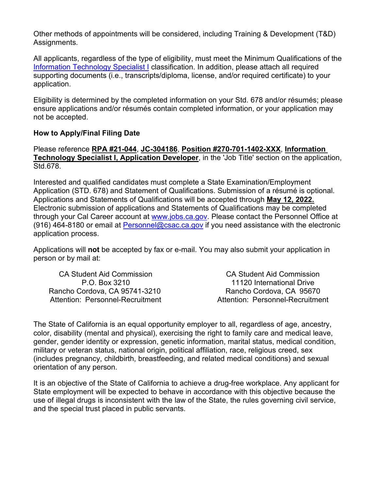Other methods of appointments will be considered, including Training & Development (T&D) Assignments.

All applicants, regardless of the type of eligibility, must meet the Minimum Qualifications of the [Information Technology Specialist I](http://www.calhr.ca.gov/state-hr-professionals/Pages/1400.aspx) classification. In addition, please attach all required supporting documents (i.e., transcripts/diploma, license, and/or required certificate) to your application.

Eligibility is determined by the completed information on your Std. 678 and/or résumés; please ensure applications and/or résumés contain completed information, or your application may not be accepted.

#### **How to Apply/Final Filing Date**

Please reference **RPA #21-044**, **JC-304186**, **Position #270-701-1402-XXX**, **Information Technology Specialist I, Application Developer**, in the 'Job Title' section on the application, Std.678.

Interested and qualified candidates must complete a State Examination/Employment Application (STD. 678) and Statement of Qualifications. Submission of a résumé is optional. Applications and Statements of Qualifications will be accepted through **May 12, 2022.** Electronic submission of applications and Statements of Qualifications may be completed through your Cal Career account at [www.jobs.ca.gov.](http://www.jobs.ca.gov/) Please contact the Personnel Office at (916) 464-8180 or email at [Personnel@csac.ca.gov](mailto:Personnel@csac.ca.gov) if you need assistance with the electronic application process.

Applications will **not** be accepted by fax or e-mail. You may also submit your application in person or by mail at:

CA Student Aid Commission P.O. Box 3210 Rancho Cordova, CA 95741-3210 Attention: Personnel-Recruitment

CA Student Aid Commission 11120 International Drive Rancho Cordova, CA 95670 Attention: Personnel-Recruitment

The State of California is an equal opportunity employer to all, regardless of age, ancestry, color, disability (mental and physical), exercising the right to family care and medical leave, gender, gender identity or expression, genetic information, marital status, medical condition, military or veteran status, national origin, political affiliation, race, religious creed, sex (includes pregnancy, childbirth, breastfeeding, and related medical conditions) and sexual orientation of any person.

It is an objective of the State of California to achieve a drug-free workplace. Any applicant for State employment will be expected to behave in accordance with this objective because the use of illegal drugs is inconsistent with the law of the State, the rules governing civil service, and the special trust placed in public servants.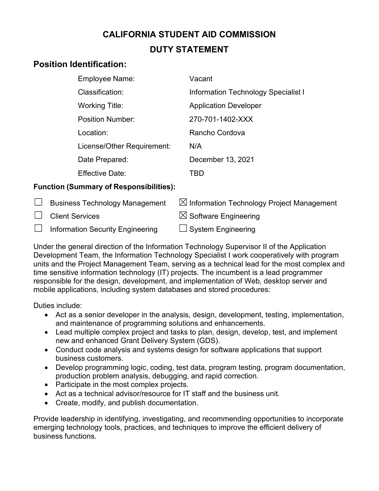# **CALIFORNIA STUDENT AID COMMISSION DUTY STATEMENT**

# **Position Identification:**

| <b>Employee Name:</b>      | Vacant                                     |
|----------------------------|--------------------------------------------|
| Classification:            | <b>Information Technology Specialist I</b> |
| <b>Working Title:</b>      | <b>Application Developer</b>               |
| <b>Position Number:</b>    | 270-701-1402-XXX                           |
| Location:                  | Rancho Cordova                             |
| License/Other Requirement: | N/A                                        |
| Date Prepared:             | December 13, 2021                          |
| <b>Effective Date:</b>     |                                            |

## **Function (Summary of Responsibilities):**

| <b>Business Technology Management</b>   | $\boxtimes$ Information Technology Project Management |
|-----------------------------------------|-------------------------------------------------------|
| $\Box$ Client Services                  | $\boxtimes$ Software Engineering                      |
| $\Box$ Information Security Engineering | $\Box$ System Engineering                             |

Under the general direction of the Information Technology Supervisor II of the Application Development Team, the Information Technology Specialist I work cooperatively with program units and the Project Management Team, serving as a technical lead for the most complex and time sensitive information technology (IT) projects. The incumbent is a lead programmer responsible for the design, development, and implementation of Web, desktop server and mobile applications, including system databases and stored procedures:

Duties include:

- Act as a senior developer in the analysis, design, development, testing, implementation, and maintenance of programming solutions and enhancements.
- Lead multiple complex project and tasks to plan, design, develop, test, and implement new and enhanced Grant Delivery System (GDS).
- Conduct code analysis and systems design for software applications that support business customers.
- Develop programming logic, coding, test data, program testing, program documentation, production problem analysis, debugging, and rapid correction.
- Participate in the most complex projects.
- Act as a technical advisor/resource for IT staff and the business unit.
- Create, modify, and publish documentation.

Provide leadership in identifying, investigating, and recommending opportunities to incorporate emerging technology tools, practices, and techniques to improve the efficient delivery of business functions.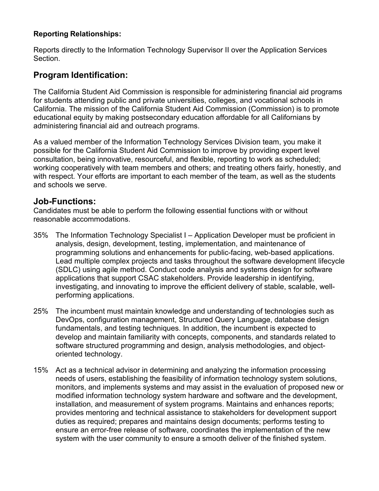#### **Reporting Relationships:**

Reports directly to the Information Technology Supervisor II over the Application Services Section.

## **Program Identification:**

The California Student Aid Commission is responsible for administering financial aid programs for students attending public and private universities, colleges, and vocational schools in California. The mission of the California Student Aid Commission (Commission) is to promote educational equity by making postsecondary education affordable for all Californians by administering financial aid and outreach programs.

As a valued member of the Information Technology Services Division team, you make it possible for the California Student Aid Commission to improve by providing expert level consultation, being innovative, resourceful, and flexible, reporting to work as scheduled; working cooperatively with team members and others; and treating others fairly, honestly, and with respect. Your efforts are important to each member of the team, as well as the students and schools we serve.

## **Job-Functions:**

Candidates must be able to perform the following essential functions with or without reasonable accommodations.

- 35% The Information Technology Specialist I Application Developer must be proficient in analysis, design, development, testing, implementation, and maintenance of programming solutions and enhancements for public-facing, web-based applications. Lead multiple complex projects and tasks throughout the software development lifecycle (SDLC) using agile method. Conduct code analysis and systems design for software applications that support CSAC stakeholders. Provide leadership in identifying, investigating, and innovating to improve the efficient delivery of stable, scalable, wellperforming applications.
- 25% The incumbent must maintain knowledge and understanding of technologies such as DevOps, configuration management, Structured Query Language, database design fundamentals, and testing techniques. In addition, the incumbent is expected to develop and maintain familiarity with concepts, components, and standards related to software structured programming and design, analysis methodologies, and objectoriented technology.
- 15% Act as a technical advisor in determining and analyzing the information processing needs of users, establishing the feasibility of information technology system solutions, monitors, and implements systems and may assist in the evaluation of proposed new or modified information technology system hardware and software and the development, installation, and measurement of system programs. Maintains and enhances reports; provides mentoring and technical assistance to stakeholders for development support duties as required; prepares and maintains design documents; performs testing to ensure an error-free release of software, coordinates the implementation of the new system with the user community to ensure a smooth deliver of the finished system.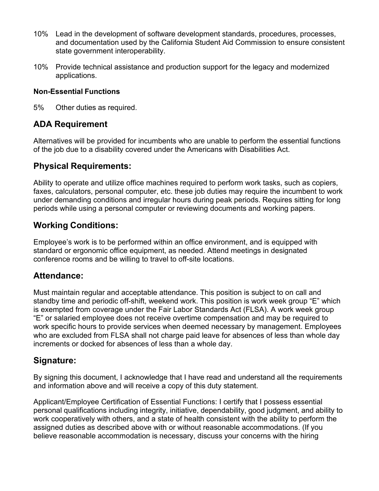- 10% Lead in the development of software development standards, procedures, processes, and documentation used by the California Student Aid Commission to ensure consistent state government interoperability.
- 10% Provide technical assistance and production support for the legacy and modernized applications.

#### **Non-Essential Functions**

5% Other duties as required.

## **ADA Requirement**

Alternatives will be provided for incumbents who are unable to perform the essential functions of the job due to a disability covered under the Americans with Disabilities Act.

## **Physical Requirements:**

Ability to operate and utilize office machines required to perform work tasks, such as copiers, faxes, calculators, personal computer, etc. these job duties may require the incumbent to work under demanding conditions and irregular hours during peak periods. Requires sitting for long periods while using a personal computer or reviewing documents and working papers.

## **Working Conditions:**

Employee's work is to be performed within an office environment, and is equipped with standard or ergonomic office equipment, as needed. Attend meetings in designated conference rooms and be willing to travel to off-site locations.

## **Attendance:**

Must maintain regular and acceptable attendance. This position is subject to on call and standby time and periodic off-shift, weekend work. This position is work week group "E" which is exempted from coverage under the Fair Labor Standards Act (FLSA). A work week group "E" or salaried employee does not receive overtime compensation and may be required to work specific hours to provide services when deemed necessary by management. Employees who are excluded from FLSA shall not charge paid leave for absences of less than whole day increments or docked for absences of less than a whole day.

# **Signature:**

By signing this document, I acknowledge that I have read and understand all the requirements and information above and will receive a copy of this duty statement.

Applicant/Employee Certification of Essential Functions: I certify that I possess essential personal qualifications including integrity, initiative, dependability, good judgment, and ability to work cooperatively with others, and a state of health consistent with the ability to perform the assigned duties as described above with or without reasonable accommodations. (If you believe reasonable accommodation is necessary, discuss your concerns with the hiring